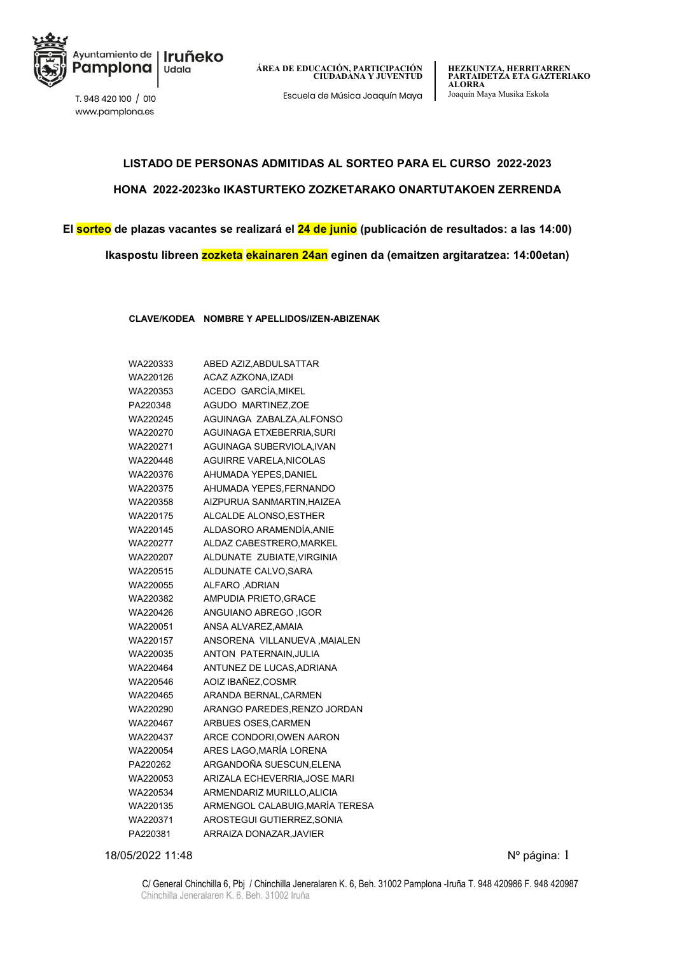

www.pamplona.es

**HEZKUNTZA, HERRITARREN PARTAIDETZA ETA GAZTERIAKO ALORRA** Escuela de Música Joaquín Maya Joaquín Maya Musika Eskola T. 948 420 100 / <sup>010</sup>

# **LISTADO DE PERSONAS ADMITIDAS AL SORTEO PARA EL CURSO 2022-2023 HONA 2022-2023ko IKASTURTEKO ZOZKETARAKO ONARTUTAKOEN ZERRENDA**

**El sorteo de plazas vacantes se realizará el 24 de junio (publicación de resultados: a las 14:00) Ikaspostu libreen zozketa ekainaren 24an eginen da (emaitzen argitaratzea: 14:00etan)**

**CLAVE/KODEA NOMBRE Y APELLIDOS/IZEN-ABIZENAK**

| WA220333 | ABED AZIZ, ABDULSATTAR         |
|----------|--------------------------------|
| WA220126 | <b>ACAZ AZKONA.IZADI</b>       |
| WA220353 | ACEDO GARCÍA, MIKEL            |
| PA220348 | <b>AGUDO MARTINEZ,ZOE</b>      |
| WA220245 | AGUINAGA ZABALZA, ALFONSO      |
| WA220270 | AGUINAGA ETXEBERRIA, SURI      |
| WA220271 | AGUINAGA SUBERVIOLA, IVAN      |
| WA220448 | <b>AGUIRRE VARELA, NICOLAS</b> |
| WA220376 | AHUMADA YEPES, DANIEL          |
| WA220375 | AHUMADA YEPES, FERNANDO        |
| WA220358 | AIZPURUA SANMARTIN.HAIZEA      |
| WA220175 | ALCALDE ALONSO, ESTHER         |
| WA220145 | ALDASORO ARAMENDÍA, ANIE       |
| WA220277 | ALDAZ CABESTRERO.MARKEL        |
| WA220207 | ALDUNATE ZUBIATE, VIRGINIA     |
| WA220515 | ALDUNATE CALVO, SARA           |
| WA220055 | <b>ALFARO ADRIAN</b>           |
| WA220382 | AMPUDIA PRIETO, GRACE          |
| WA220426 | <b>ANGUIANO ABREGO ,IGOR</b>   |
| WA220051 | ANSA ALVAREZ, AMAIA            |
| WA220157 | ANSORENA VILLANUEVA, MAIALEN   |
| WA220035 | ANTON PATERNAIN, JULIA         |
| WA220464 | ANTUNEZ DE LUCAS, ADRIANA      |
| WA220546 | AOIZ IBAÑEZ, COSMR             |
| WA220465 | ARANDA BERNAL, CARMEN          |
| WA220290 | ARANGO PAREDES, RENZO JORDAN   |
| WA220467 | ARBUES OSES, CARMEN            |
| WA220437 | ARCE CONDORI, OWEN AARON       |
| WA220054 | ARES LAGO, MARÍA LORENA        |
| PA220262 | ARGANDOÑA SUESCUN, ELENA       |
| WA220053 | ARIZALA ECHEVERRIA.JOSE MARI   |
| WA220534 | ARMENDARIZ MURILLO, ALICIA     |
| WA220135 | ARMENGOL CALABUIG,MARÍA TERESA |
| WA220371 | AROSTEGUI GUTIERREZ, SONIA     |
| PA220381 | ARRAIZA DONAZAR, JAVIER        |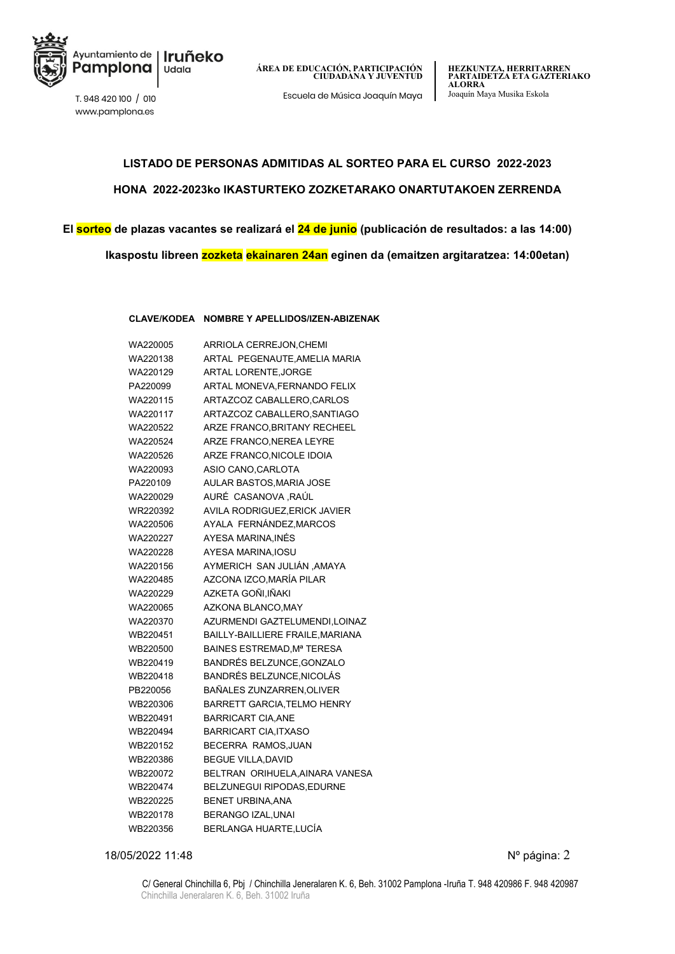

www.pamplona.es

Escuela de Música Joaquín Maya Joaquín Maya Musika Eskola T. 948 420 100 / <sup>010</sup>

### **LISTADO DE PERSONAS ADMITIDAS AL SORTEO PARA EL CURSO 2022-2023 HONA 2022-2023ko IKASTURTEKO ZOZKETARAKO ONARTUTAKOEN ZERRENDA**

**El sorteo de plazas vacantes se realizará el 24 de junio (publicación de resultados: a las 14:00)**

**Ikaspostu libreen zozketa ekainaren 24an eginen da (emaitzen argitaratzea: 14:00etan)**

#### **CLAVE/KODEA NOMBRE Y APELLIDOS/IZEN-ABIZENAK**

| WA220005 | ARRIOLA CERREJON, CHEMI          |
|----------|----------------------------------|
| WA220138 | ARTAL PEGENAUTE, AMELIA MARIA    |
| WA220129 | ARTAL LORENTE, JORGE             |
| PA220099 | ARTAL MONEVA, FERNANDO FELIX     |
| WA220115 | ARTAZCOZ CABALLERO, CARLOS       |
| WA220117 | ARTAZCOZ CABALLERO, SANTIAGO     |
| WA220522 | ARZE FRANCO, BRITANY RECHEEL     |
| WA220524 | ARZE FRANCO, NEREA LEYRE         |
| WA220526 | ARZE FRANCO, NICOLE IDOIA        |
| WA220093 | ASIO CANO, CARLOTA               |
| PA220109 | AULAR BASTOS, MARIA JOSE         |
| WA220029 | AURÉ CASANOVA RAÚL               |
| WR220392 | AVILA RODRIGUEZ, ERICK JAVIER    |
| WA220506 | AYALA FERNÁNDEZ, MARCOS          |
| WA220227 | AYESA MARINA, INÉS               |
| WA220228 | AYESA MARINA, IOSU               |
| WA220156 | AYMERICH SAN JULIÁN , AMAYA      |
| WA220485 | AZCONA IZCO, MARÍA PILAR         |
| WA220229 | AZKETA GOÑI, IÑAKI               |
| WA220065 | AZKONA BLANCO.MAY                |
| WA220370 | AZURMENDI GAZTELUMENDI,LOINAZ    |
| WB220451 | BAILLY-BAILLIERE FRAILE, MARIANA |
| WB220500 | BAINES ESTREMAD.Mª TERESA        |
| WB220419 | BANDRÉS BELZUNCE, GONZALO        |
| WB220418 | BANDRÉS BELZUNCE, NICOLÁS        |
| PB220056 | BAÑALES ZUNZARREN, OLIVER        |
| WB220306 | BARRETT GARCIA, TELMO HENRY      |
| WB220491 | <b>BARRICART CIA ANE</b>         |
| WB220494 | <b>BARRICART CIA, ITXASO</b>     |
| WB220152 | BECERRA RAMOS, JUAN              |
| WB220386 | <b>BEGUE VILLA, DAVID</b>        |
| WB220072 | BELTRAN ORIHUELA, AINARA VANESA  |
| WB220474 | BELZUNEGUI RIPODAS, EDURNE       |
| WB220225 | <b>BENET URBINA, ANA</b>         |
| WB220178 | BERANGO IZAL, UNAI               |
| WB220356 | BERLANGA HUARTE,LUCÍA            |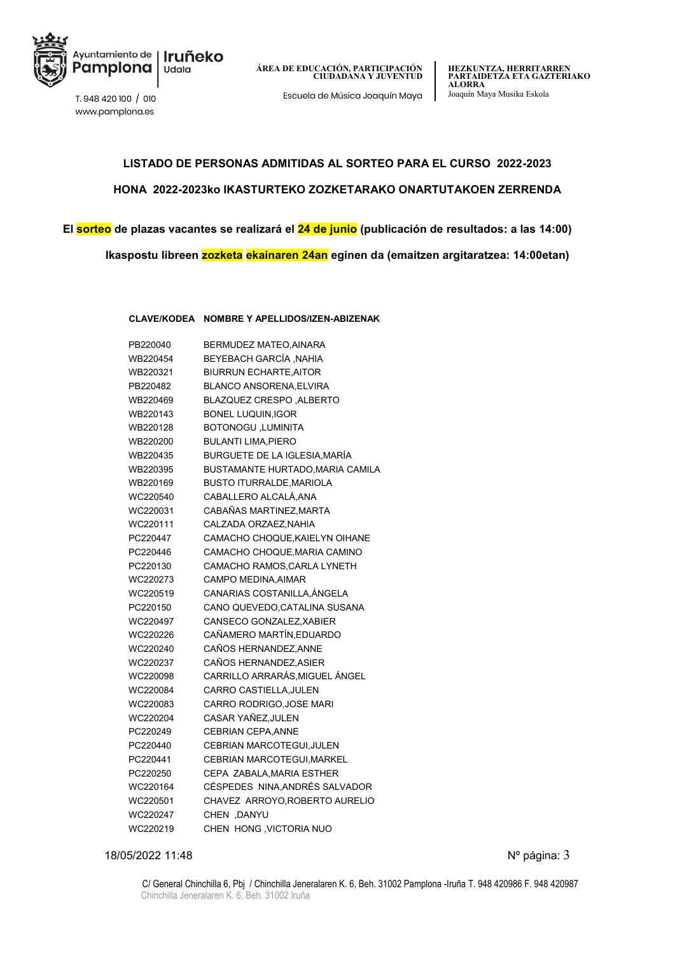

www.pamplona.es

Escuela de Música Joaquín Maya Joaquín Maya Musika Eskola T. 948 420 100 / <sup>010</sup>

### **LISTADO DE PERSONAS ADMITIDAS AL SORTEO PARA EL CURSO 2022-2023 HONA 2022-2023ko IKASTURTEKO ZOZKETARAKO ONARTUTAKOEN ZERRENDA**

**El sorteo de plazas vacantes se realizará el 24 de junio (publicación de resultados: a las 14:00)**

**Ikaspostu libreen zozketa ekainaren 24an eginen da (emaitzen argitaratzea: 14:00etan)**

**CLAVE/KODEA NOMBRE Y APELLIDOS/IZEN-ABIZENAK**

| PB220040 | BERMUDEZ MATEO, AINARA           |
|----------|----------------------------------|
| WB220454 | BEYEBACH GARCÍA ,NAHIA           |
| WB220321 | <b>BIURRUN ECHARTE, AITOR</b>    |
| PB220482 | BLANCO ANSORENA.ELVIRA           |
| WB220469 | <b>BLAZQUEZ CRESPO , ALBERTO</b> |
| WB220143 | <b>BONEL LUQUIN, IGOR</b>        |
| WB220128 | <b>BOTONOGU, LUMINITA</b>        |
| WB220200 | <b>BULANTI LIMA, PIERO</b>       |
| WB220435 | BURGUETE DE LA IGLESIA, MARÍA    |
| WB220395 | BUSTAMANTE HURTADO, MARIA CAMILA |
| WB220169 | <b>BUSTO ITURRALDE, MARIOLA</b>  |
| WC220540 | CABALLERO ALCALÁ, ANA            |
| WC220031 | CABAÑAS MARTINEZ, MARTA          |
| WC220111 | CALZADA ORZAEZ, NAHIA            |
| PC220447 | CAMACHO CHOQUE, KAIELYN OIHANE   |
| PC220446 | CAMACHO CHOQUE, MARIA CAMINO     |
| PC220130 | CAMACHO RAMOS, CARLA LYNETH      |
| WC220273 | CAMPO MEDINA, AIMAR              |
| WC220519 | CANARIAS COSTANILLA, ÁNGELA      |
| PC220150 | CANO QUEVEDO.CATALINA SUSANA     |
| WC220497 | CANSECO GONZALEZ, XABIER         |
| WC220226 | CAÑAMERO MARTÍN, EDUARDO         |
| WC220240 | CAÑOS HERNANDEZ.ANNE             |
| WC220237 | CAÑOS HERNANDEZ, ASIER           |
| WC220098 | CARRILLO ARRARÁS,MIGUEL ÁNGEL    |
| WC220084 | CARRO CASTIELLA, JULEN           |
| WC220083 | CARRO RODRIGO, JOSE MARI         |
| WC220204 | CASAR YAÑEZ, JULEN               |
| PC220249 | CEBRIAN CEPA, ANNE               |
| PC220440 | <b>CEBRIAN MARCOTEGUI.JULEN</b>  |
| PC220441 | CEBRIAN MARCOTEGUI, MARKEL       |
| PC220250 | CEPA ZABALA, MARIA ESTHER        |
| WC220164 | CÉSPEDES NINA, ANDRÉS SALVADOR   |
| WC220501 | CHAVEZ ARROYO, ROBERTO AURELIO   |
| WC220247 | <b>CHEN .DANYU</b>               |
| WC220219 | CHEN HONG, VICTORIA NUO          |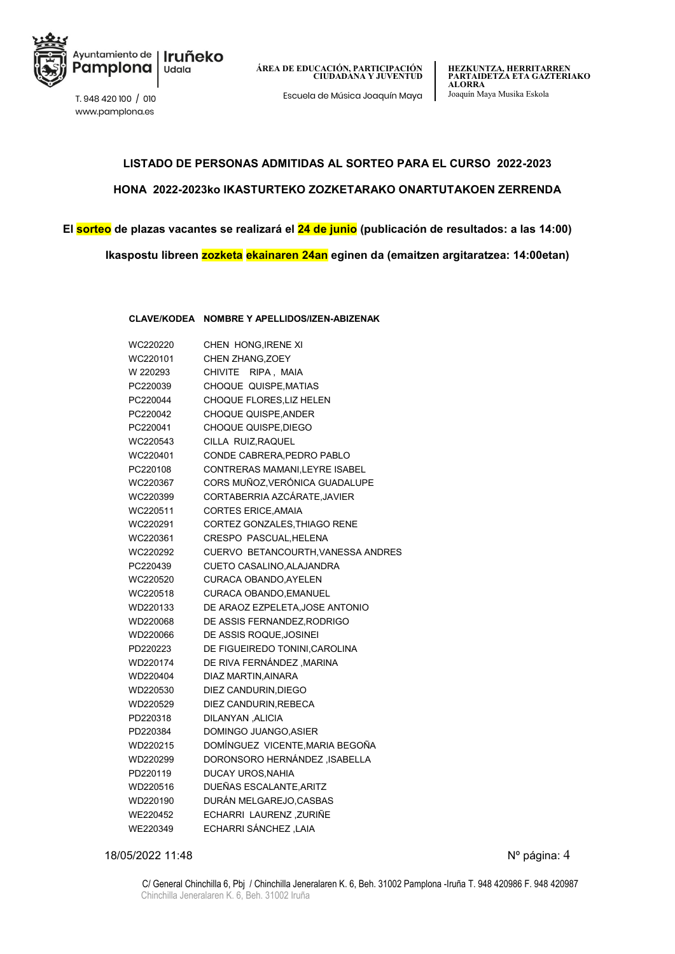

www.pamplona.es

**ÁREA DE EDUCACIÓN, PARTICIPACIÓN CIUDADANA Y JUVENTUD**

Escuela de Música Joaquín Maya Joaquín Maya Musika Eskola T. 948 420 100 / <sup>010</sup>

### **LISTADO DE PERSONAS ADMITIDAS AL SORTEO PARA EL CURSO 2022-2023 HONA 2022-2023ko IKASTURTEKO ZOZKETARAKO ONARTUTAKOEN ZERRENDA**

### **El sorteo de plazas vacantes se realizará el 24 de junio (publicación de resultados: a las 14:00) Ikaspostu libreen zozketa ekainaren 24an eginen da (emaitzen argitaratzea: 14:00etan)**

**CLAVE/KODEA NOMBRE Y APELLIDOS/IZEN-ABIZENAK**

| WC220220 | CHEN HONG, IRENE XI                |
|----------|------------------------------------|
| WC220101 | CHEN ZHANG, ZOEY                   |
| W 220293 | RIPA, MAIA<br><b>CHIVITE</b>       |
| PC220039 | CHOQUE QUISPE, MATIAS              |
| PC220044 | <b>CHOQUE FLORES.LIZ HELEN</b>     |
| PC220042 | <b>CHOQUE QUISPE, ANDER</b>        |
| PC220041 | <b>CHOQUE QUISPE, DIEGO</b>        |
| WC220543 | CILLA RUIZ, RAQUEL                 |
| WC220401 | CONDE CABRERA, PEDRO PABLO         |
| PC220108 | CONTRERAS MAMANI, LEYRE ISABEL     |
| WC220367 | CORS MUÑOZ, VERÓNICA GUADALUPE     |
| WC220399 | CORTABERRIA AZCÁRATE, JAVIER       |
| WC220511 | <b>CORTES ERICE, AMAIA</b>         |
| WC220291 | CORTEZ GONZALES, THIAGO RENE       |
| WC220361 | <b>CRESPO PASCUAL, HELENA</b>      |
| WC220292 | CUERVO BETANCOURTH, VANESSA ANDRES |
| PC220439 | CUETO CASALINO, ALAJANDRA          |
| WC220520 | <b>CURACA OBANDO, AYELEN</b>       |
| WC220518 | CURACA OBANDO, EMANUEL             |
| WD220133 | DE ARAOZ EZPELETA, JOSE ANTONIO    |
| WD220068 | DE ASSIS FERNANDEZ, RODRIGO        |
| WD220066 | DE ASSIS ROQUE, JOSINEI            |
| PD220223 | DE FIGUEIREDO TONINI CAROLINA      |
| WD220174 | DE RIVA FERNÁNDEZ, MARINA          |
| WD220404 | DIAZ MARTIN, AINARA                |
| WD220530 | DIEZ CANDURIN, DIEGO               |
| WD220529 | DIEZ CANDURIN, REBECA              |
| PD220318 | DILANYAN, ALICIA                   |
| PD220384 | DOMINGO JUANGO, ASIER              |
| WD220215 | DOMÍNGUEZ VICENTE, MARIA BEGOÑA    |
| WD220299 | DORONSORO HERNÁNDEZ, ISABELLA      |
| PD220119 | DUCAY UROS, NAHIA                  |
| WD220516 | DUEÑAS ESCALANTE.ARITZ             |
| WD220190 | DURÁN MELGAREJO, CASBAS            |
| WE220452 | ECHARRI LAURENZ ZURIÑE             |
| WE220349 | <b>ECHARRI SÁNCHEZ ,LAIA</b>       |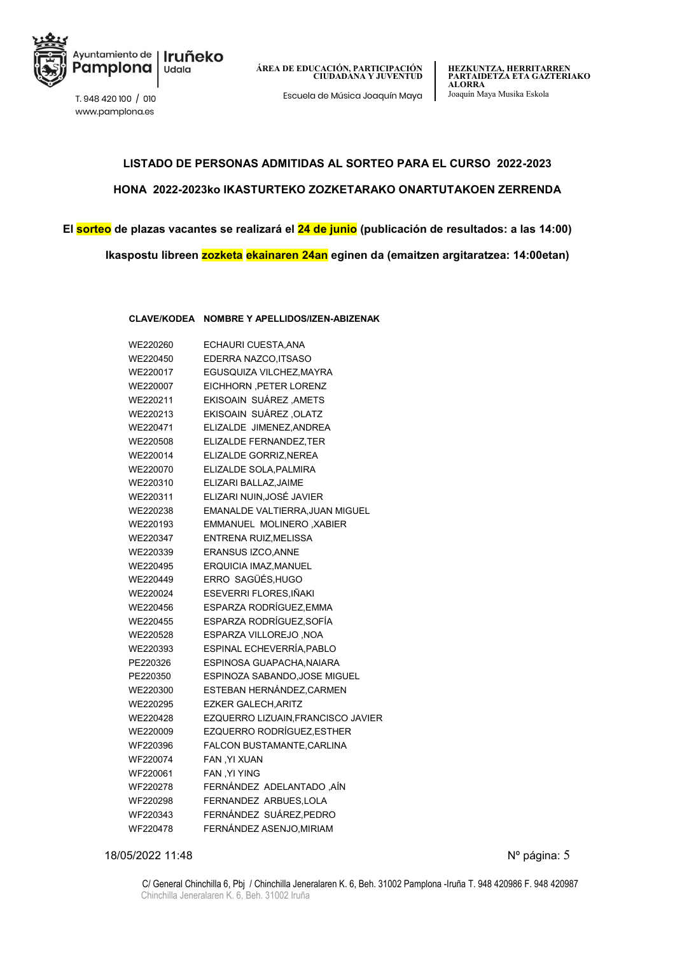

www.pamplona.es

Escuela de Música Joaquín Maya Joaquín Maya Musika Eskola T. 948 420 100 / <sup>010</sup>

### **LISTADO DE PERSONAS ADMITIDAS AL SORTEO PARA EL CURSO 2022-2023 HONA 2022-2023ko IKASTURTEKO ZOZKETARAKO ONARTUTAKOEN ZERRENDA**

**El sorteo de plazas vacantes se realizará el 24 de junio (publicación de resultados: a las 14:00)**

**Ikaspostu libreen zozketa ekainaren 24an eginen da (emaitzen argitaratzea: 14:00etan)**

**CLAVE/KODEA NOMBRE Y APELLIDOS/IZEN-ABIZENAK**

| WE220260 | ECHAURI CUESTA, ANA                |
|----------|------------------------------------|
| WE220450 | EDERRA NAZCO, ITSASO               |
| WE220017 | EGUSQUIZA VILCHEZ.MAYRA            |
| WE220007 | EICHHORN, PETER LORENZ             |
| WE220211 | EKISOAIN SUÁREZ, AMETS             |
| WE220213 | EKISOAIN SUÁREZ, OLATZ             |
| WE220471 | ELIZALDE JIMENEZ, ANDREA           |
| WE220508 | ELIZALDE FERNANDEZ, TER            |
| WE220014 | ELIZALDE GORRIZ, NEREA             |
| WE220070 | ELIZALDE SOLA, PALMIRA             |
| WE220310 | ELIZARI BALLAZ, JAIME              |
| WE220311 | ELIZARI NUIN, JOSÉ JAVIER          |
| WE220238 | EMANALDE VALTIERRA, JUAN MIGUEL    |
| WE220193 | EMMANUEL MOLINERO, XABIER          |
| WE220347 | <b>ENTRENA RUIZ, MELISSA</b>       |
| WE220339 | <b>ERANSUS IZCO, ANNE</b>          |
| WE220495 | <b>ERQUICIA IMAZ.MANUEL</b>        |
| WE220449 | ERRO SAGÜÉS,HUGO                   |
| WE220024 | ESEVERRI FLORES, IÑAKI             |
| WE220456 | ESPARZA RODRÍGUEZ, EMMA            |
| WE220455 | ESPARZA RODRÍGUEZ, SOFÍA           |
| WE220528 | ESPARZA VILLOREJO, NOA             |
| WE220393 | ESPINAL ECHEVERRÍA, PABLO          |
| PE220326 | ESPINOSA GUAPACHA, NAIARA          |
| PE220350 | ESPINOZA SABANDO, JOSE MIGUEL      |
| WE220300 | ESTEBAN HERNÁNDEZ, CARMEN          |
| WE220295 | <b>EZKER GALECH, ARITZ</b>         |
| WE220428 | EZQUERRO LIZUAIN, FRANCISCO JAVIER |
| WE220009 | EZQUERRO RODRÍGUEZ,ESTHER          |
| WF220396 | FALCON BUSTAMANTE, CARLINA         |
| WF220074 | <b>FAN, YI XUAN</b>                |
| WF220061 | <b>FAN .YI YING</b>                |
| WF220278 | FERNÁNDEZ ADELANTADO, AÍN          |
| WF220298 | FERNANDEZ ARBUES, LOLA             |
| WF220343 | FERNÁNDEZ SUÁREZ, PEDRO            |
| WF220478 | FERNÁNDEZ ASENJO, MIRIAM           |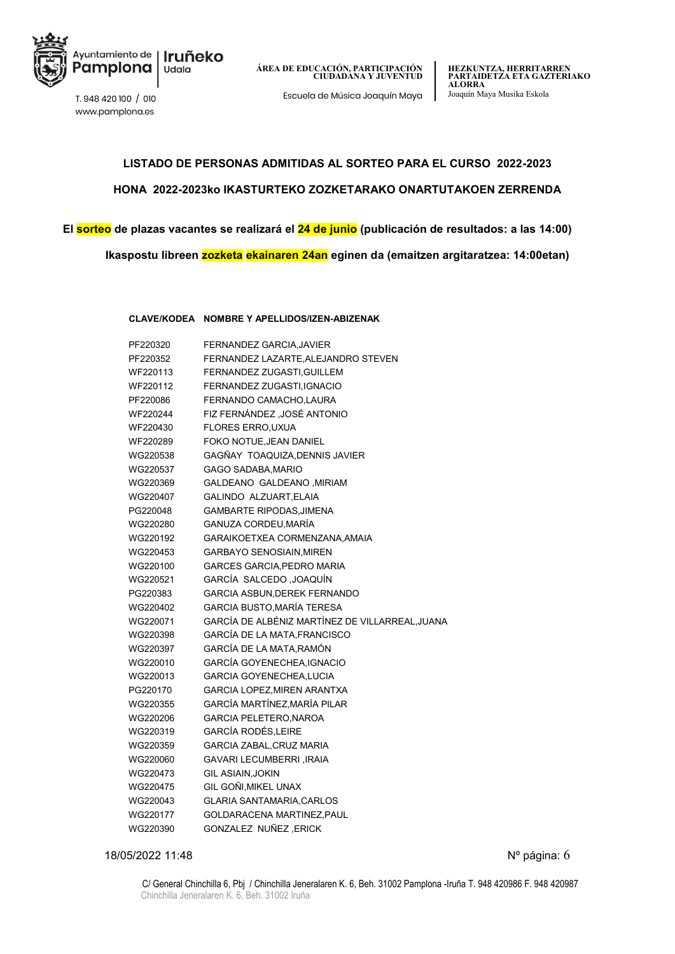

Escuela de Música Joaquín Maya Joaquín Maya Musika Eskola T. 948 420 100 / <sup>010</sup>

www.pamplona.es

## **LISTADO DE PERSONAS ADMITIDAS AL SORTEO PARA EL CURSO 2022-2023 HONA 2022-2023ko IKASTURTEKO ZOZKETARAKO ONARTUTAKOEN ZERRENDA**

### **El sorteo de plazas vacantes se realizará el 24 de junio (publicación de resultados: a las 14:00)**

**Ikaspostu libreen zozketa ekainaren 24an eginen da (emaitzen argitaratzea: 14:00etan)**

#### **CLAVE/KODEA NOMBRE Y APELLIDOS/IZEN-ABIZENAK**

| PF220320 | FERNANDEZ GARCIA, JAVIER                        |
|----------|-------------------------------------------------|
| PF220352 | FERNANDEZ LAZARTE, ALEJANDRO STEVEN             |
| WF220113 | FERNANDEZ ZUGASTI, GUILLEM                      |
| WF220112 | FERNANDEZ ZUGASTI, IGNACIO                      |
| PF220086 | FERNANDO CAMACHO, LAURA                         |
| WF220244 | FIZ FERNÁNDEZ ,JOSÉ ANTONIO                     |
| WF220430 | <b>FLORES ERRO, UXUA</b>                        |
| WF220289 | FOKO NOTUE, JEAN DANIEL                         |
| WG220538 | GAGÑAY TOAQUIZA, DENNIS JAVIER                  |
| WG220537 | <b>GAGO SADABA, MARIO</b>                       |
| WG220369 | GALDEANO GALDEANO, MIRIAM                       |
| WG220407 | GALINDO ALZUART, ELAIA                          |
| PG220048 | <b>GAMBARTE RIPODAS, JIMENA</b>                 |
| WG220280 | GANUZA CORDEU,MARÍA                             |
| WG220192 | GARAIKOETXEA CORMENZANA, AMAIA                  |
| WG220453 | <b>GARBAYO SENOSIAIN, MIREN</b>                 |
| WG220100 | <b>GARCES GARCIA PEDRO MARIA</b>                |
| WG220521 | GARCÍA SALCEDO ,JOAQUÍN                         |
| PG220383 | GARCIA ASBUN, DEREK FERNANDO                    |
| WG220402 | <b>GARCIA BUSTO, MARÍA TERESA</b>               |
| WG220071 | GARCÍA DE ALBÉNIZ MARTÍNEZ DE VILLARREAL, JUANA |
| WG220398 | <b>GARCÍA DE LA MATA FRANCISCO</b>              |
| WG220397 | GARCÍA DE LA MATA, RAMÓN                        |
| WG220010 | GARCÍA GOYENECHEA, IGNACIO                      |
| WG220013 | <b>GARCIA GOYENECHEA, LUCIA</b>                 |
| PG220170 | GARCIA LOPEZ, MIREN ARANTXA                     |
| WG220355 | GARCÍA MARTÍNEZ,MARÍA PILAR                     |
| WG220206 | <b>GARCIA PELETERO, NAROA</b>                   |
| WG220319 | GARCÍA RODÉS,LEIRE                              |
| WG220359 | <b>GARCIA ZABAL, CRUZ MARIA</b>                 |
| WG220060 | <b>GAVARI LECUMBERRI, IRAIA</b>                 |
| WG220473 | <b>GIL ASIAIN.JOKIN</b>                         |
| WG220475 | GIL GOÑI, MIKEL UNAX                            |
| WG220043 | <b>GLARIA SANTAMARIA, CARLOS</b>                |
| WG220177 | GOLDARACENA MARTINEZ, PAUL                      |
| WG220390 | GONZALEZ NUÑEZ ,ERICK                           |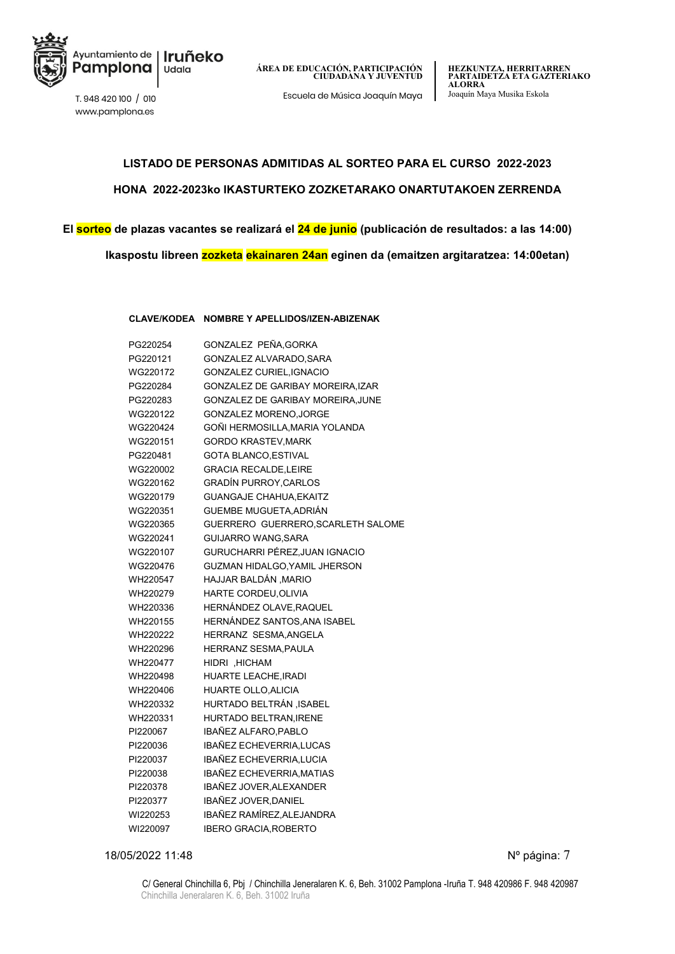

Escuela de Música Joaquín Maya Joaquín Maya Musika Eskola T. 948 420 100 / <sup>010</sup>

www.pamplona.es

## **LISTADO DE PERSONAS ADMITIDAS AL SORTEO PARA EL CURSO 2022-2023 HONA 2022-2023ko IKASTURTEKO ZOZKETARAKO ONARTUTAKOEN ZERRENDA**

### **El sorteo de plazas vacantes se realizará el 24 de junio (publicación de resultados: a las 14:00)**

**Ikaspostu libreen zozketa ekainaren 24an eginen da (emaitzen argitaratzea: 14:00etan)**

#### **CLAVE/KODEA NOMBRE Y APELLIDOS/IZEN-ABIZENAK**

| PG220254 | GONZALEZ PEÑA, GORKA                 |
|----------|--------------------------------------|
| PG220121 | GONZALEZ ALVARADO, SARA              |
| WG220172 | GONZALEZ CURIEL, IGNACIO             |
| PG220284 | GONZALEZ DE GARIBAY MOREIRA, IZAR    |
| PG220283 | GONZALEZ DE GARIBAY MOREIRA, JUNE    |
| WG220122 | GONZALEZ MORENO, JORGE               |
| WG220424 | GOÑI HERMOSILLA.MARIA YOLANDA        |
| WG220151 | <b>GORDO KRASTEV, MARK</b>           |
| PG220481 | <b>GOTA BLANCO, ESTIVAL</b>          |
| WG220002 | <b>GRACIA RECALDE, LEIRE</b>         |
| WG220162 | <b>GRADÍN PURROY, CARLOS</b>         |
| WG220179 | <b>GUANGAJE CHAHUA EKAITZ</b>        |
| WG220351 | GUEMBE MUGUETA, ADRIÁN               |
| WG220365 | GUERRERO GUERRERO, SCARLETH SALOME   |
| WG220241 | GUIJARRO WANG, SARA                  |
| WG220107 | GURUCHARRI PÉREZ,JUAN IGNACIO        |
| WG220476 | <b>GUZMAN HIDALGO, YAMIL JHERSON</b> |
| WH220547 | HAJJAR BALDÁN , MARIO                |
| WH220279 | HARTE CORDEU, OLIVIA                 |
| WH220336 | HERNÁNDEZ OLAVE, RAQUEL              |
| WH220155 | HERNÁNDEZ SANTOS ANA ISABEL          |
| WH220222 | HERRANZ SESMA, ANGELA                |
| WH220296 | <b>HERRANZ SESMA PAULA</b>           |
| WH220477 | HIDRI , HICHAM                       |
| WH220498 | <b>HUARTE LEACHE, IRADI</b>          |
| WH220406 | <b>HUARTE OLLO, ALICIA</b>           |
| WH220332 | HURTADO BELTRÁN ,ISABEL              |
| WH220331 | HURTADO BELTRAN, IRENE               |
| PI220067 | IBAÑEZ ALFARO, PABLO                 |
| PI220036 | IBAÑEZ ECHEVERRIA LUCAS              |
| PI220037 | IBAÑEZ ECHEVERRIA, LUCIA             |
| PI220038 | <b>IBAÑEZ ECHEVERRIA MATIAS</b>      |
| PI220378 | IBAÑEZ JOVER, ALEXANDER              |
| PI220377 | IBAÑEZ JOVER, DANIEL                 |
| WI220253 | IBAÑEZ RAMÍREZ, ALEJANDRA            |
| WI220097 | <b>IBERO GRACIA, ROBERTO</b>         |
|          |                                      |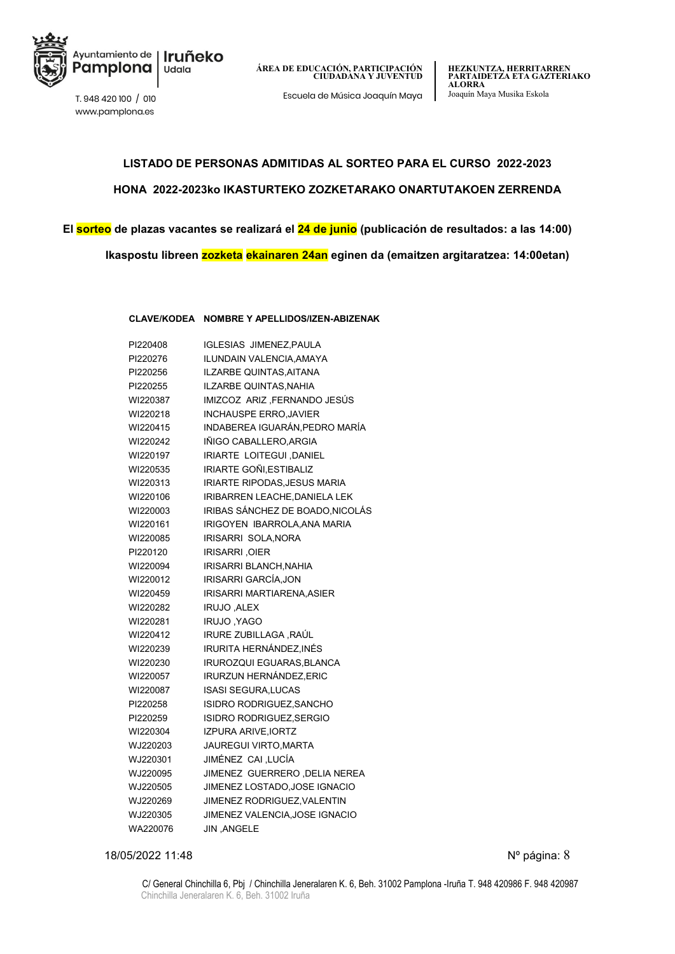

www.pamplona.es

**HEZKUNTZA, HERRITARREN PARTAIDETZA ETA GAZTERIAKO ALORRA**

### **LISTADO DE PERSONAS ADMITIDAS AL SORTEO PARA EL CURSO 2022-2023 HONA 2022-2023ko IKASTURTEKO ZOZKETARAKO ONARTUTAKOEN ZERRENDA**

**El sorteo de plazas vacantes se realizará el 24 de junio (publicación de resultados: a las 14:00) Ikaspostu libreen zozketa ekainaren 24an eginen da (emaitzen argitaratzea: 14:00etan)**

**CLAVE/KODEA NOMBRE Y APELLIDOS/IZEN-ABIZENAK**

| PI220408 | <b>IGLESIAS JIMENEZ, PAULA</b>   |
|----------|----------------------------------|
| PI220276 | <b>ILUNDAIN VALENCIA.AMAYA</b>   |
| PI220256 | ILZARBE QUINTAS.AITANA           |
| PI220255 | <b>ILZARBE QUINTAS, NAHIA</b>    |
| WI220387 | IMIZCOZ ARIZ ,FERNANDO JESÚS     |
| WI220218 | <b>INCHAUSPE ERRO, JAVIER</b>    |
| WI220415 | INDABEREA IGUARÁN, PEDRO MARÍA   |
| WI220242 | IÑIGO CABALLERO, ARGIA           |
| WI220197 | IRIARTE LOITEGUI , DANIEL        |
| WI220535 | IRIARTE GOÑI, ESTIBALIZ          |
| WI220313 | IRIARTE RIPODAS, JESUS MARIA     |
| WI220106 | IRIBARREN LEACHE, DANIELA LEK    |
| WI220003 | IRIBAS SÁNCHEZ DE BOADO, NICOLÁS |
| WI220161 | IRIGOYEN IBARROLA, ANA MARIA     |
| WI220085 | IRISARRI SOLA, NORA              |
| PI220120 | <b>IRISARRI, OIER</b>            |
| WI220094 | IRISARRI BLANCH, NAHIA           |
| WI220012 | IRISARRI GARCÍA, JON             |
| WI220459 | <b>IRISARRI MARTIARENA.ASIER</b> |
| WI220282 | IRUJO, ALEX                      |
| WI220281 | IRUJO, YAGO                      |
| WI220412 | IRURE ZUBILLAGA ,RAÚL            |
| WI220239 | IRURITA HERNÁNDEZ.INÉS           |
| WI220230 | <b>IRUROZQUI EGUARAS, BLANCA</b> |
| WI220057 | IRURZUN HERNÁNDEZ,ERIC           |
| WI220087 | <b>ISASI SEGURA, LUCAS</b>       |
| PI220258 | <b>ISIDRO RODRIGUEZ, SANCHO</b>  |
| PI220259 | ISIDRO RODRIGUEZ, SERGIO         |
| WI220304 | <b>IZPURA ARIVE, IORTZ</b>       |
| WJ220203 | <b>JAUREGUI VIRTO, MARTA</b>     |
| WJ220301 | JIMÉNEZ CAI ,LUCÍA               |
| WJ220095 | JIMENEZ GUERRERO, DELIA NEREA    |
| WJ220505 | JIMENEZ LOSTADO, JOSE IGNACIO    |
| WJ220269 | JIMENEZ RODRIGUEZ, VALENTIN      |
| WJ220305 | JIMENEZ VALENCIA, JOSE IGNACIO   |
| WA220076 | JIN, ANGELE                      |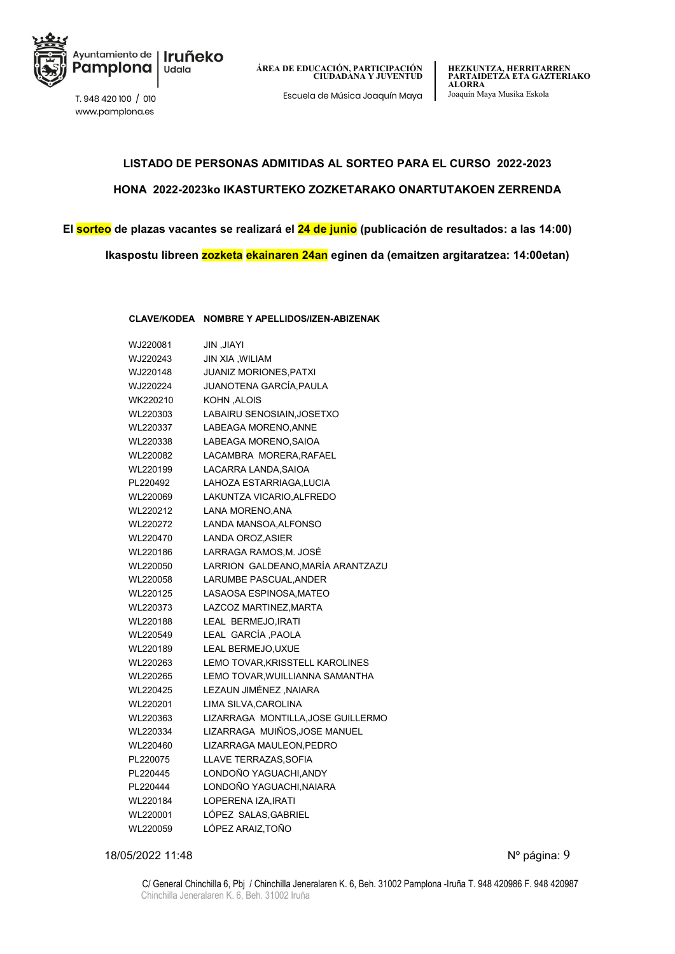

www.pamplona.es

**HEZKUNTZA, HERRITARREN PARTAIDETZA ETA GAZTERIAKO ALORRA**

### **LISTADO DE PERSONAS ADMITIDAS AL SORTEO PARA EL CURSO 2022-2023 HONA 2022-2023ko IKASTURTEKO ZOZKETARAKO ONARTUTAKOEN ZERRENDA**

**El sorteo de plazas vacantes se realizará el 24 de junio (publicación de resultados: a las 14:00) Ikaspostu libreen zozketa ekainaren 24an eginen da (emaitzen argitaratzea: 14:00etan)**

**CLAVE/KODEA NOMBRE Y APELLIDOS/IZEN-ABIZENAK**

| WJ220081 | <b>IYAIL, MIL</b>                  |
|----------|------------------------------------|
| WJ220243 | JIN XIA, WILIAM                    |
| WJ220148 | <b>JUANIZ MORIONES, PATXI</b>      |
| WJ220224 | JUANOTENA GARCÍA,PAULA             |
| WK220210 | KOHN, ALOIS                        |
| WL220303 | LABAIRU SENOSIAIN, JOSETXO         |
| WL220337 | LABEAGA MORENO, ANNE               |
| WL220338 | LABEAGA MORENO, SAIOA              |
| WL220082 | LACAMBRA MORERA, RAFAEL            |
| WL220199 | LACARRA LANDA, SAIOA               |
| PL220492 | LAHOZA ESTARRIAGA, LUCIA           |
| WL220069 | LAKUNTZA VICARIO, ALFREDO          |
| WL220212 | LANA MORENO, ANA                   |
| WL220272 | LANDA MANSOA, ALFONSO              |
| WL220470 | LANDA OROZ, ASIER                  |
| WL220186 | LARRAGA RAMOS, M. JOSÉ             |
| WL220050 | LARRION GALDEANO, MARÍA ARANTZAZU  |
| WL220058 | LARUMBE PASCUAL, ANDER             |
| WL220125 | LASAOSA ESPINOSA, MATEO            |
| WL220373 | LAZCOZ MARTINEZ, MARTA             |
| WL220188 | LEAL BERMEJO, IRATI                |
| WL220549 | LEAL GARCÍA , PAOLA                |
| WL220189 | LEAL BERMEJO, UXUE                 |
| WL220263 | LEMO TOVAR, KRISSTELL KAROLINES    |
| WL220265 | LEMO TOVAR. WUILLIANNA SAMANTHA    |
| WL220425 | LEZAUN JIMÉNEZ , NAIARA            |
| WL220201 | LIMA SILVA, CAROLINA               |
| WL220363 | LIZARRAGA MONTILLA, JOSE GUILLERMO |
| WL220334 | LIZARRAGA MUIÑOS, JOSE MANUEL      |
| WL220460 | LIZARRAGA MAULEON.PEDRO            |
| PL220075 | LLAVE TERRAZAS, SOFIA              |
| PL220445 | LONDOÑO YAGUACHI, ANDY             |
| PL220444 | LONDOÑO YAGUACHI, NAIARA           |
| WL220184 | LOPERENA IZA, IRATI                |
| WL220001 | LÓPEZ SALAS.GABRIEL                |
| WL220059 | LÓPEZ ARAIZ,TOÑO                   |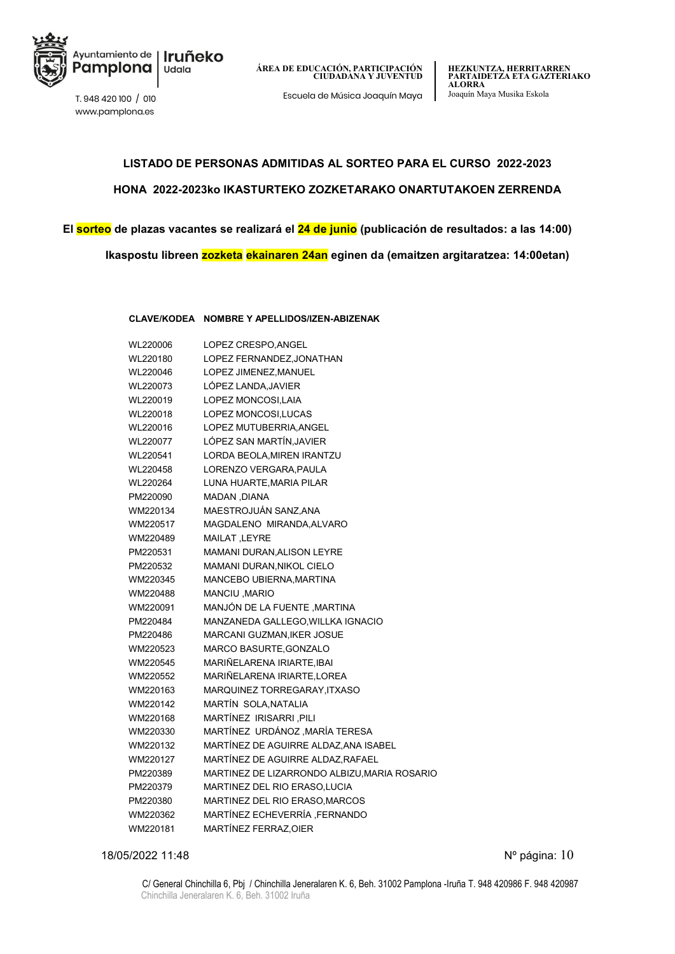

www.pamplona.es

**HEZKUNTZA, HERRITARREN PARTAIDETZA ETA GAZTERIAKO ALORRA** Escuela de Música Joaquín Maya Joaquín Maya Musika Eskola T. 948 420 100 / <sup>010</sup>

### **LISTADO DE PERSONAS ADMITIDAS AL SORTEO PARA EL CURSO 2022-2023 HONA 2022-2023ko IKASTURTEKO ZOZKETARAKO ONARTUTAKOEN ZERRENDA**

**El sorteo de plazas vacantes se realizará el 24 de junio (publicación de resultados: a las 14:00) Ikaspostu libreen zozketa ekainaren 24an eginen da (emaitzen argitaratzea: 14:00etan)**

**CLAVE/KODEA NOMBRE Y APELLIDOS/IZEN-ABIZENAK**

| WL220006 | LOPEZ CRESPO, ANGEL                          |
|----------|----------------------------------------------|
| WL220180 | LOPEZ FERNANDEZ, JONATHAN                    |
| WL220046 | LOPEZ JIMENEZ, MANUEL                        |
| WL220073 | LÓPEZ LANDA, JAVIER                          |
| WL220019 | LOPEZ MONCOSI, LAIA                          |
| WL220018 | LOPEZ MONCOSI, LUCAS                         |
| WL220016 | LOPEZ MUTUBERRIA, ANGEL                      |
| WL220077 | LÓPEZ SAN MARTÍN, JAVIER                     |
| WL220541 | LORDA BEOLA, MIREN IRANTZU                   |
| WL220458 | LORENZO VERGARA, PAULA                       |
| WL220264 | LUNA HUARTE, MARIA PILAR                     |
| PM220090 | MADAN, DIANA                                 |
| WM220134 | MAESTROJUÁN SANZ, ANA                        |
| WM220517 | MAGDALENO MIRANDA.ALVARO                     |
| WM220489 | MAILAT, LEYRE                                |
| PM220531 | MAMANI DURAN, ALISON LEYRE                   |
| PM220532 | MAMANI DURAN, NIKOL CIELO                    |
| WM220345 | MANCEBO UBIERNA, MARTINA                     |
| WM220488 | MANCIU, MARIO                                |
| WM220091 | MANJÓN DE LA FUENTE , MARTINA                |
| PM220484 | MANZANEDA GALLEGO, WILLKA IGNACIO            |
| PM220486 | MARCANI GUZMAN, IKER JOSUE                   |
| WM220523 | MARCO BASURTE, GONZALO                       |
| WM220545 | MARIÑELARENA IRIARTE.IBAI                    |
| WM220552 | MARIÑELARENA IRIARTE, LOREA                  |
| WM220163 | MARQUINEZ TORREGARAY, ITXASO                 |
| WM220142 | MARTÍN SOLA, NATALIA                         |
| WM220168 | MARTÍNEZ IRISARRI PILI                       |
| WM220330 | MARTÍNEZ URDÁNOZ , MARÍA TERESA              |
| WM220132 | MARTÍNEZ DE AGUIRRE ALDAZ, ANA ISABEL        |
| WM220127 | MARTÍNEZ DE AGUIRRE ALDAZ, RAFAEL            |
| PM220389 | MARTINEZ DE LIZARRONDO ALBIZU, MARIA ROSARIO |
| PM220379 | MARTINEZ DEL RIO ERASO, LUCIA                |
| PM220380 | MARTINEZ DEL RIO ERASO, MARCOS               |
| WM220362 | MARTÍNEZ ECHEVERRÍA, FERNANDO                |
| WM220181 | MARTÍNEZ FERRAZ, OIER                        |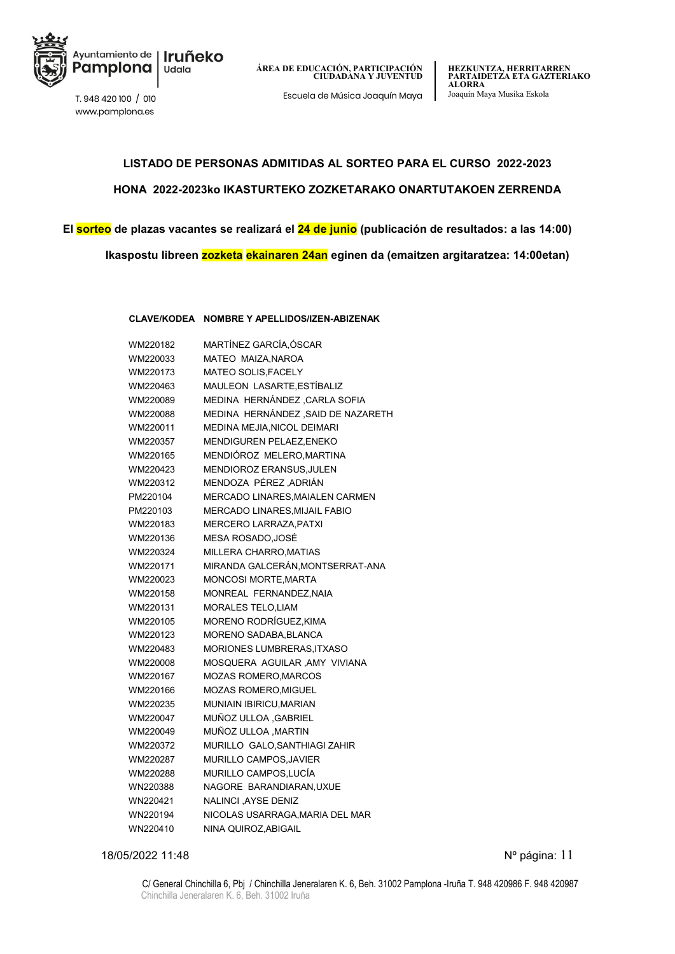

www.pamplona.es

### **LISTADO DE PERSONAS ADMITIDAS AL SORTEO PARA EL CURSO 2022-2023 HONA 2022-2023ko IKASTURTEKO ZOZKETARAKO ONARTUTAKOEN ZERRENDA**

**El sorteo de plazas vacantes se realizará el 24 de junio (publicación de resultados: a las 14:00)**

**Ikaspostu libreen zozketa ekainaren 24an eginen da (emaitzen argitaratzea: 14:00etan)**

**CLAVE/KODEA NOMBRE Y APELLIDOS/IZEN-ABIZENAK**

| WM220182 | MARTÍNEZ GARCÍA, ÓSCAR             |
|----------|------------------------------------|
| WM220033 | MATEO MAIZA, NAROA                 |
| WM220173 | MATEO SOLIS, FACELY                |
| WM220463 | MAULEON LASARTE, ESTÍBALIZ         |
| WM220089 | MEDINA HERNÁNDEZ, CARLA SOFIA      |
| WM220088 | MEDINA HERNÁNDEZ, SAID DE NAZARETH |
| WM220011 | MEDINA MEJIA, NICOL DEIMARI        |
| WM220357 | MENDIGUREN PELAEZ, ENEKO           |
| WM220165 | MENDIÓROZ MELERO, MARTINA          |
| WM220423 | MENDIOROZ ERANSUS, JULEN           |
| WM220312 | MENDOZA PÉREZ ,ADRIÁN              |
| PM220104 | MERCADO LINARES, MAIALEN CARMEN    |
| PM220103 | MERCADO LINARES, MIJAIL FABIO      |
| WM220183 | MERCERO LARRAZA, PATXI             |
| WM220136 | MESA ROSADO, JOSÉ                  |
| WM220324 | MILLERA CHARRO, MATIAS             |
| WM220171 | MIRANDA GALCERÁN, MONTSERRAT-ANA   |
| WM220023 | <b>MONCOSI MORTE, MARTA</b>        |
| WM220158 | MONREAL FERNANDEZ, NAIA            |
| WM220131 | <b>MORALES TELO, LIAM</b>          |
| WM220105 | MORENO RODRÍGUEZ, KIMA             |
| WM220123 | MORENO SADABA, BLANCA              |
| WM220483 | <b>MORIONES LUMBRERAS, ITXASO</b>  |
| WM220008 | MOSQUERA AGUILAR , AMY VIVIANA     |
| WM220167 | <b>MOZAS ROMERO, MARCOS</b>        |
| WM220166 | <b>MOZAS ROMERO, MIGUEL</b>        |
| WM220235 | MUNIAIN IBIRICU, MARIAN            |
| WM220047 | MUÑOZ ULLOA , GABRIEL              |
| WM220049 | MUÑOZ ULLOA , MARTIN               |
| WM220372 | MURILLO GALO, SANTHIAGI ZAHIR      |
| WM220287 | MURILLO CAMPOS, JAVIER             |
| WM220288 | MURILLO CAMPOS, LUCÍA              |
| WN220388 | NAGORE BARANDIARAN, UXUE           |
| WN220421 | NALINCI , AYSE DENIZ               |
| WN220194 | NICOLAS USARRAGA, MARIA DEL MAR    |
| WN220410 | NINA QUIROZ, ABIGAIL               |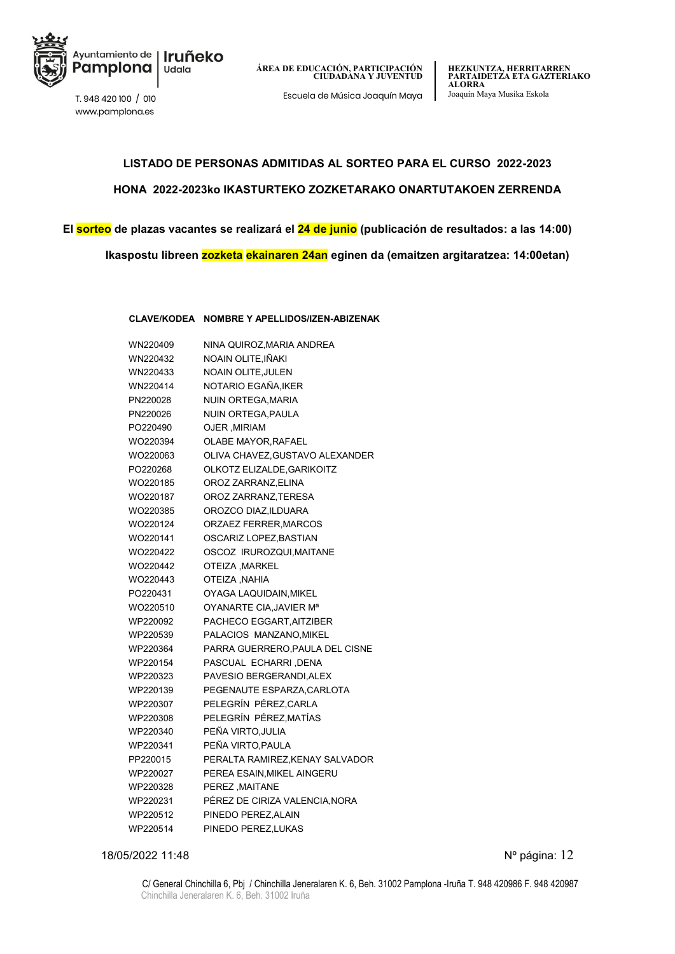

www.pamplona.es

**ÁREA DE EDUCACIÓN, PARTICIPACIÓN CIUDADANA Y JUVENTUD**

Escuela de Música Joaquín Maya Joaquín Maya Musika Eskola T. 948 420 100 / <sup>010</sup>

### **LISTADO DE PERSONAS ADMITIDAS AL SORTEO PARA EL CURSO 2022-2023 HONA 2022-2023ko IKASTURTEKO ZOZKETARAKO ONARTUTAKOEN ZERRENDA**

### **El sorteo de plazas vacantes se realizará el 24 de junio (publicación de resultados: a las 14:00) Ikaspostu libreen zozketa ekainaren 24an eginen da (emaitzen argitaratzea: 14:00etan)**

**CLAVE/KODEA NOMBRE Y APELLIDOS/IZEN-ABIZENAK**

| WN220409 | NINA QUIROZ, MARIA ANDREA           |
|----------|-------------------------------------|
| WN220432 | NOAIN OLITE,IÑAKI                   |
| WN220433 | <b>NOAIN OLITE, JULEN</b>           |
| WN220414 | NOTARIO EGAÑA,IKER                  |
| PN220028 | NUIN ORTEGA, MARIA                  |
| PN220026 | NUIN ORTEGA, PAULA                  |
| PO220490 | <b>OJER, MIRIAM</b>                 |
| WO220394 | OLABE MAYOR, RAFAEL                 |
| WO220063 | OLIVA CHAVEZ, GUSTAVO ALEXANDER     |
| PO220268 | OLKOTZ ELIZALDE, GARIKOITZ          |
| WO220185 | OROZ ZARRANZ, ELINA                 |
| WO220187 | OROZ ZARRANZ, TERESA                |
| WO220385 | OROZCO DIAZ, ILDUARA                |
| WO220124 | ORZAEZ FERRER, MARCOS               |
| WO220141 | OSCARIZ LOPEZ, BASTIAN              |
| WO220422 | OSCOZ IRUROZQUI, MAITANE            |
| WO220442 | <b>OTEIZA, MARKEL</b>               |
| WO220443 | <b>OTEIZA, NAHIA</b>                |
| PO220431 | OYAGA LAQUIDAIN, MIKEL              |
| WO220510 | OYANARTE CIA, JAVIER M <sup>a</sup> |
| WP220092 | PACHECO EGGART.AITZIBER             |
| WP220539 | PALACIOS MANZANO, MIKEL             |
| WP220364 | PARRA GUERRERO, PAULA DEL CISNE     |
| WP220154 | PASCUAL ECHARRI , DENA              |
| WP220323 | PAVESIO BERGERANDI, ALEX            |
| WP220139 | PEGENAUTE ESPARZA, CARLOTA          |
| WP220307 | PELEGRÍN PÉREZ,CARLA                |
| WP220308 | PELEGRÍN PÉREZ, MATÍAS              |
| WP220340 | PEÑA VIRTO, JULIA                   |
| WP220341 | PEÑA VIRTO.PAULA                    |
| PP220015 | PERALTA RAMIREZ, KENAY SALVADOR     |
| WP220027 | PEREA ESAIN, MIKEL AINGERU          |
| WP220328 | PEREZ MAITANE                       |
| WP220231 | PÉREZ DE CIRIZA VALENCIA, NORA      |
| WP220512 | PINEDO PEREZ, ALAIN                 |
| WP220514 | PINEDO PEREZ, LUKAS                 |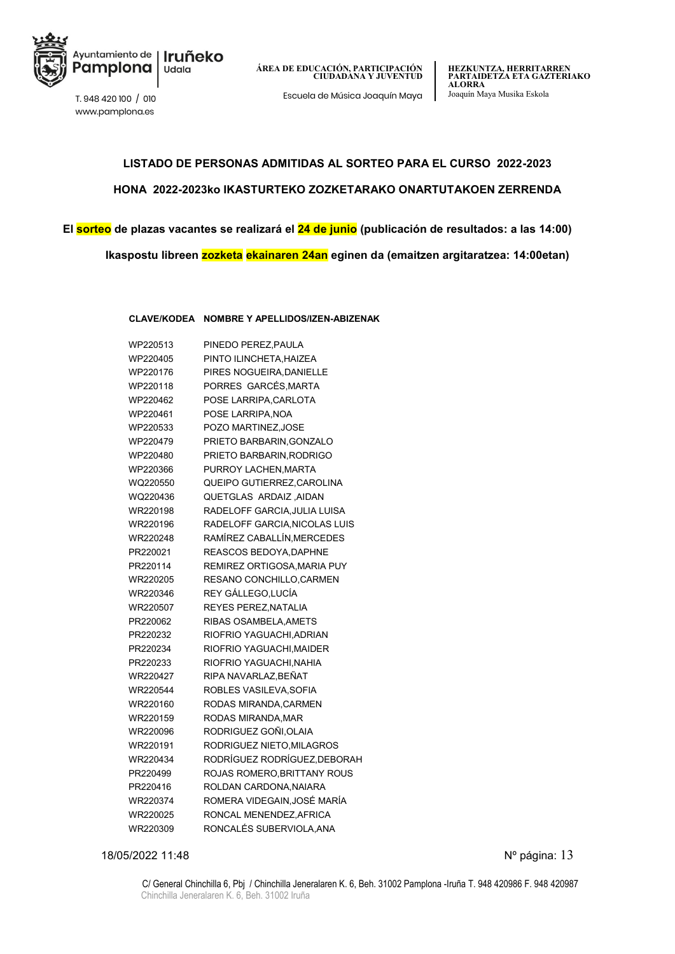

Escuela de Música Joaquín Maya Joaquín Maya Musika Eskola T. 948 420 100 / <sup>010</sup>

www.pamplona.es

### **LISTADO DE PERSONAS ADMITIDAS AL SORTEO PARA EL CURSO 2022-2023 HONA 2022-2023ko IKASTURTEKO ZOZKETARAKO ONARTUTAKOEN ZERRENDA**

**El sorteo de plazas vacantes se realizará el 24 de junio (publicación de resultados: a las 14:00) Ikaspostu libreen zozketa ekainaren 24an eginen da (emaitzen argitaratzea: 14:00etan)**

**CLAVE/KODEA NOMBRE Y APELLIDOS/IZEN-ABIZENAK**

| WP220513 | PINEDO PEREZ, PAULA               |
|----------|-----------------------------------|
| WP220405 | PINTO ILINCHETA, HAIZEA           |
| WP220176 | PIRES NOGUEIRA, DANIELLE          |
| WP220118 | PORRES GARCÉS, MARTA              |
| WP220462 | POSE LARRIPA, CARLOTA             |
| WP220461 | POSE LARRIPA.NOA                  |
| WP220533 | POZO MARTINEZ, JOSE               |
| WP220479 | PRIETO BARBARIN, GONZALO          |
| WP220480 | PRIETO BARBARIN, RODRIGO          |
| WP220366 | PURROY LACHEN, MARTA              |
| WQ220550 | QUEIPO GUTIERREZ, CAROLINA        |
| WQ220436 | QUETGLAS ARDAIZ, AIDAN            |
| WR220198 | RADELOFF GARCIA, JULIA LUISA      |
| WR220196 | RADELOFF GARCIA, NICOLAS LUIS     |
| WR220248 | RAMÍREZ CABALLÍN, MERCEDES        |
| PR220021 | REASCOS BEDOYA.DAPHNE             |
| PR220114 | REMIREZ ORTIGOSA, MARIA PUY       |
| WR220205 | RESANO CONCHILLO, CARMEN          |
| WR220346 | REY GÁLLEGO, LUCÍA                |
| WR220507 | REYES PEREZ, NATALIA              |
| PR220062 | RIBAS OSAMBELA.AMETS              |
| PR220232 | RIOFRIO YAGUACHI, ADRIAN          |
| PR220234 | RIOFRIO YAGUACHI, MAIDER          |
| PR220233 | RIOFRIO YAGUACHI, NAHIA           |
| WR220427 | RIPA NAVARLAZ,BEÑAT               |
| WR220544 | ROBLES VASILEVA, SOFIA            |
| WR220160 | RODAS MIRANDA, CARMEN             |
| WR220159 | RODAS MIRANDA, MAR                |
| WR220096 | RODRIGUEZ GOÑI.OLAIA              |
| WR220191 | RODRIGUEZ NIETO, MILAGROS         |
| WR220434 | RODRÍGUEZ RODRÍGUEZ, DEBORAH      |
| PR220499 | <b>ROJAS ROMERO BRITTANY ROUS</b> |
| PR220416 | ROLDAN CARDONA, NAIARA            |
| WR220374 | ROMERA VIDEGAIN, JOSÉ MARÍA       |
| WR220025 | RONCAL MENENDEZ, AFRICA           |
| WR220309 | RONCALÉS SUBERVIOLA, ANA          |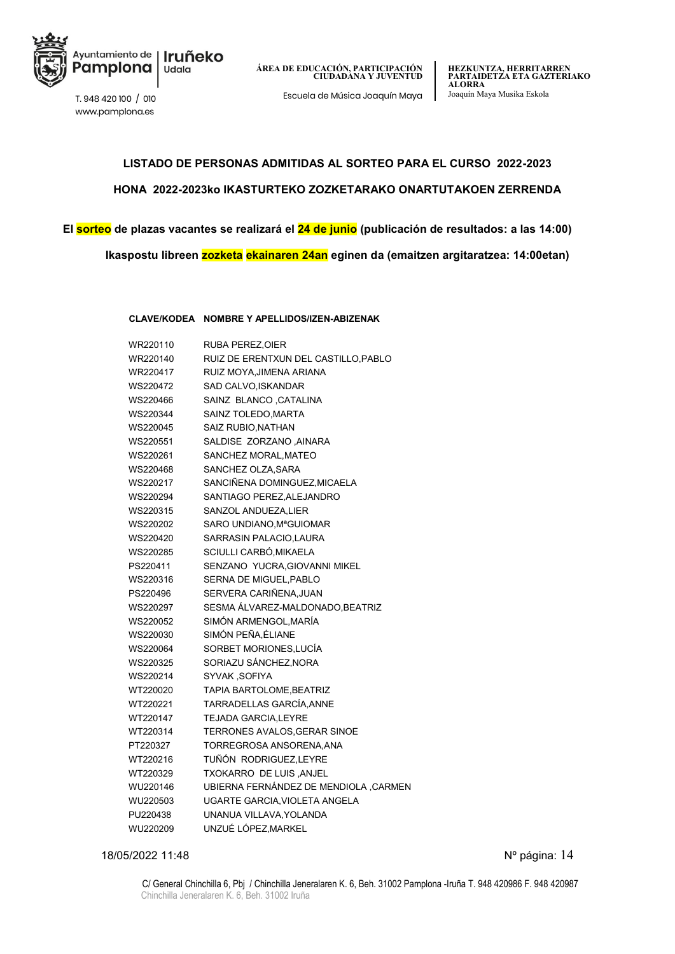

Escuela de Música Joaquín Maya Joaquín Maya Musika Eskola T. 948 420 100 / <sup>010</sup>

www.pamplona.es

## **LISTADO DE PERSONAS ADMITIDAS AL SORTEO PARA EL CURSO 2022-2023 HONA 2022-2023ko IKASTURTEKO ZOZKETARAKO ONARTUTAKOEN ZERRENDA**

## **El sorteo de plazas vacantes se realizará el 24 de junio (publicación de resultados: a las 14:00)**

**Ikaspostu libreen zozketa ekainaren 24an eginen da (emaitzen argitaratzea: 14:00etan)**

#### **CLAVE/KODEA NOMBRE Y APELLIDOS/IZEN-ABIZENAK**

| WR220110 | <b>RUBA PEREZ, OIER</b>               |
|----------|---------------------------------------|
| WR220140 | RUIZ DE ERENTXUN DEL CASTILLO, PABLO  |
| WR220417 | RUIZ MOYA, JIMENA ARIANA              |
| WS220472 | SAD CALVO,ISKANDAR                    |
| WS220466 | SAINZ BLANCO, CATALINA                |
| WS220344 | SAINZ TOLEDO, MARTA                   |
| WS220045 | SAIZ RUBIO, NATHAN                    |
| WS220551 | SALDISE ZORZANO , AINARA              |
| WS220261 | SANCHEZ MORAL, MATEO                  |
| WS220468 | SANCHEZ OLZA, SARA                    |
| WS220217 | SANCIÑENA DOMINGUEZ, MICAELA          |
| WS220294 | SANTIAGO PEREZ, ALEJANDRO             |
| WS220315 | SANZOL ANDUEZA,LIER                   |
| WS220202 | SARO UNDIANO, MªGUIOMAR               |
| WS220420 | SARRASIN PALACIO, LAURA               |
| WS220285 | SCIULLI CARBÓ,MIKAELA                 |
| PS220411 | SENZANO YUCRA, GIOVANNI MIKEL         |
| WS220316 | SERNA DE MIGUEL, PABLO                |
| PS220496 | SERVERA CARIÑENA, JUAN                |
| WS220297 | SESMA ÁLVAREZ-MALDONADO, BEATRIZ      |
| WS220052 | SIMÓN ARMENGOL, MARÍA                 |
| WS220030 | SIMÓN PEÑA,ÉLIANE                     |
| WS220064 | SORBET MORIONES, LUCÍA                |
| WS220325 | SORIAZU SÁNCHEZ, NORA                 |
| WS220214 | SYVAK, SOFIYA                         |
| WT220020 | TAPIA BARTOLOME, BEATRIZ              |
| WT220221 | TARRADELLAS GARCÍA, ANNE              |
| WT220147 | <b>TEJADA GARCIA,LEYRE</b>            |
| WT220314 | <b>TERRONES AVALOS, GERAR SINOE</b>   |
| PT220327 | TORREGROSA ANSORENA, ANA              |
| WT220216 | TUÑÓN RODRIGUEZ,LEYRE                 |
| WT220329 | TXOKARRO DE LUIS, ANJEL               |
| WU220146 | UBIERNA FERNÁNDEZ DE MENDIOLA, CARMEN |
| WU220503 | UGARTE GARCIA, VIOLETA ANGELA         |
| PU220438 | UNANUA VILLAVA, YOLANDA               |
| WU220209 | UNZUÉ LÓPEZ, MARKEL                   |